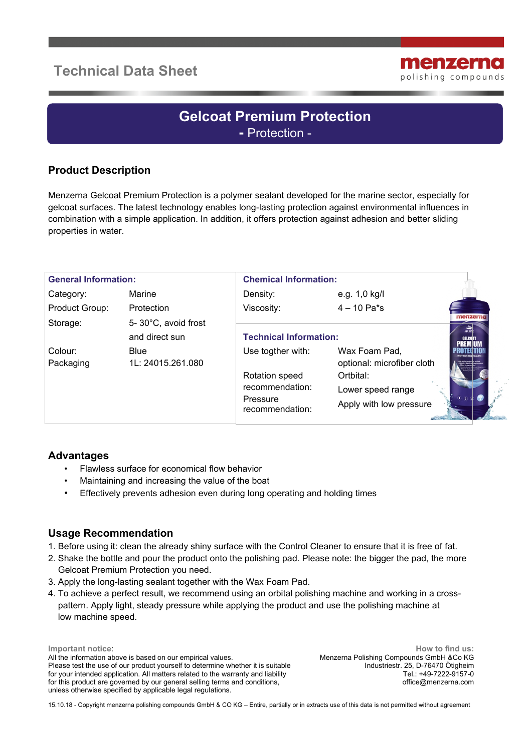# **Technical Data Sheet**



# **Gelcoat Premium Protection -** Protection -

## **Product Description**

Menzerna Gelcoat Premium Protection is a polymer sealant developed for the marine sector, especially for gelcoat surfaces. The latest technology enables long-lasting protection against environmental influences in combination with a simple application. In addition, it offers protection against adhesion and better sliding properties in water.

| <b>General Information:</b> |                                       | <b>Chemical Information:</b>                                                          |                                                                                                          |                                                |
|-----------------------------|---------------------------------------|---------------------------------------------------------------------------------------|----------------------------------------------------------------------------------------------------------|------------------------------------------------|
| Category:                   | Marine                                | Density:                                                                              | e.g. 1,0 kg/l                                                                                            |                                                |
| Product Group:              | Protection                            | Viscosity:                                                                            | $4 - 10$ Pa*s                                                                                            |                                                |
| Storage:                    | 5-30°C, avoid frost<br>and direct sun | <b>Technical Information:</b>                                                         |                                                                                                          | menzerno<br>$\widehat{\mathcal{L}}$<br>GELCOAT |
| Colour:<br>Packaging        | <b>Blue</b><br>1L: 24015.261.080      | Use togther with:<br>Rotation speed<br>recommendation:<br>Pressure<br>recommendation: | Wax Foam Pad,<br>optional: microfiber cloth<br>Ortbital:<br>Lower speed range<br>Apply with low pressure | $\overline{1}$ $\overline{2}$                  |

#### **Advantages**

- Flawless surface for economical flow behavior
- Maintaining and increasing the value of the boat
- Effectively prevents adhesion even during long operating and holding times

#### **Usage Recommendation**

- 1. Before using it: clean the already shiny surface with the Control Cleaner to ensure that it is free of fat.
- 2. Shake the bottle and pour the product onto the polishing pad. Please note: the bigger the pad, the more Gelcoat Premium Protection you need.
- 3. Apply the long-lasting sealant together with the Wax Foam Pad.
- 4. To achieve a perfect result, we recommend using an orbital polishing machine and working in a cross pattern. Apply light, steady pressure while applying the product and use the polishing machine at low machine speed.

**Important notice**: All the information above is based on our empirical values. Please test the use of our product yourself to determine whether it is suitable for your intended application. All matters related to the warranty and liability for this product are governed by our general selling terms and conditions, unless otherwise specified by applicable legal regulations.

**How to find us:** Menzerna Polishing Compounds GmbH &Co KG Industriestr. 25, D-76470 Ötigheim Tel.: +49-7222-9157-0 office@menzerna.com

15.10.18 - Copyright menzerna polishing compounds GmbH & CO KG – Entire, partially or in extracts use of this data is not permitted without agreement